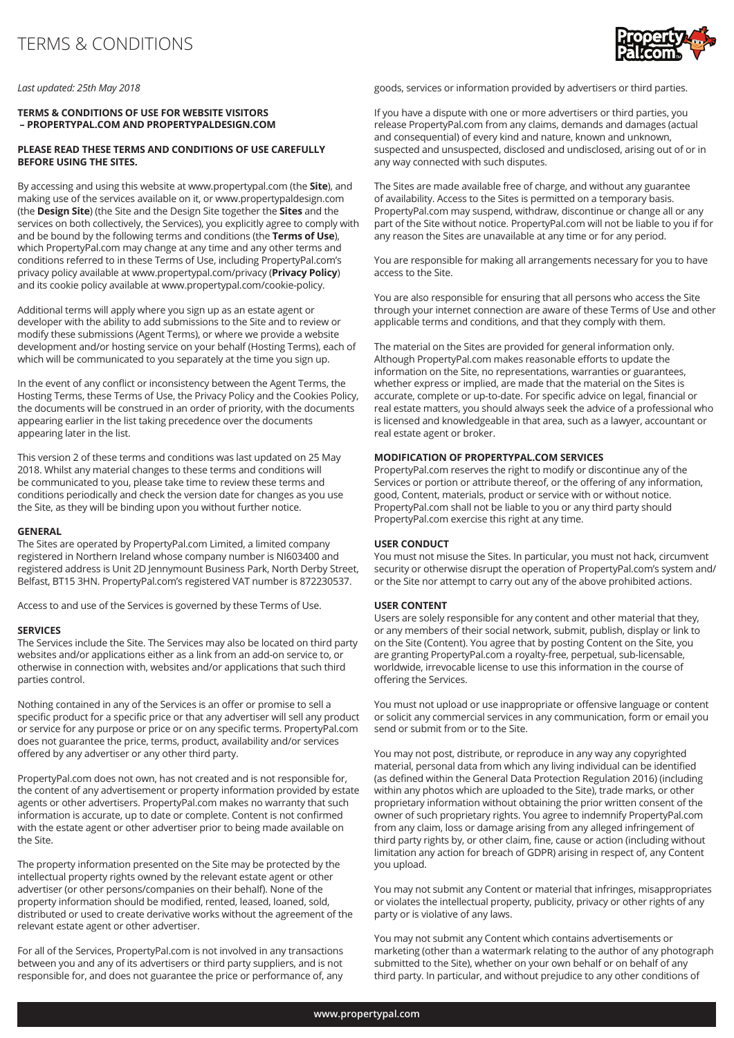

*Last updated: 25th May 2018*

### **TERMS & CONDITIONS OF USE FOR WEBSITE VISITORS – PROPERTYPAL.COM AND PROPERTYPALDESIGN.COM**

### **PLEASE READ THESE TERMS AND CONDITIONS OF USE CAREFULLY BEFORE USING THE SITES.**

By accessing and using this website at www.propertypal.com (the **Site**), and making use of the services available on it, or www.propertypaldesign.com (the **Design Site**) (the Site and the Design Site together the **Sites** and the services on both collectively, the Services), you explicitly agree to comply with and be bound by the following terms and conditions (the **Terms of Use**), which PropertyPal.com may change at any time and any other terms and conditions referred to in these Terms of Use, including PropertyPal.com's privacy policy available at www.propertypal.com/privacy (**Privacy Policy**) and its cookie policy available at www.propertypal.com/cookie-policy.

Additional terms will apply where you sign up as an estate agent or developer with the ability to add submissions to the Site and to review or modify these submissions (Agent Terms), or where we provide a website development and/or hosting service on your behalf (Hosting Terms), each of which will be communicated to you separately at the time you sign up.

In the event of any conflict or inconsistency between the Agent Terms, the Hosting Terms, these Terms of Use, the Privacy Policy and the Cookies Policy, the documents will be construed in an order of priority, with the documents appearing earlier in the list taking precedence over the documents appearing later in the list.

This version 2 of these terms and conditions was last updated on 25 May 2018. Whilst any material changes to these terms and conditions will be communicated to you, please take time to review these terms and conditions periodically and check the version date for changes as you use the Site, as they will be binding upon you without further notice.

#### **GENERAL**

The Sites are operated by PropertyPal.com Limited, a limited company registered in Northern Ireland whose company number is NI603400 and registered address is Unit 2D Jennymount Business Park, North Derby Street, Belfast, BT15 3HN. PropertyPal.com's registered VAT number is 872230537.

Access to and use of the Services is governed by these Terms of Use.

#### **SERVICES**

The Services include the Site. The Services may also be located on third party websites and/or applications either as a link from an add-on service to, or otherwise in connection with, websites and/or applications that such third parties control.

Nothing contained in any of the Services is an offer or promise to sell a specific product for a specific price or that any advertiser will sell any product or service for any purpose or price or on any specific terms. PropertyPal.com does not guarantee the price, terms, product, availability and/or services offered by any advertiser or any other third party.

PropertyPal.com does not own, has not created and is not responsible for, the content of any advertisement or property information provided by estate agents or other advertisers. PropertyPal.com makes no warranty that such information is accurate, up to date or complete. Content is not confirmed with the estate agent or other advertiser prior to being made available on the Site.

The property information presented on the Site may be protected by the intellectual property rights owned by the relevant estate agent or other advertiser (or other persons/companies on their behalf). None of the property information should be modified, rented, leased, loaned, sold, distributed or used to create derivative works without the agreement of the relevant estate agent or other advertiser.

For all of the Services, PropertyPal.com is not involved in any transactions between you and any of its advertisers or third party suppliers, and is not responsible for, and does not guarantee the price or performance of, any goods, services or information provided by advertisers or third parties.

If you have a dispute with one or more advertisers or third parties, you release PropertyPal.com from any claims, demands and damages (actual and consequential) of every kind and nature, known and unknown, suspected and unsuspected, disclosed and undisclosed, arising out of or in any way connected with such disputes.

The Sites are made available free of charge, and without any guarantee of availability. Access to the Sites is permitted on a temporary basis. PropertyPal.com may suspend, withdraw, discontinue or change all or any part of the Site without notice. PropertyPal.com will not be liable to you if for any reason the Sites are unavailable at any time or for any period.

You are responsible for making all arrangements necessary for you to have access to the Site.

You are also responsible for ensuring that all persons who access the Site through your internet connection are aware of these Terms of Use and other applicable terms and conditions, and that they comply with them.

The material on the Sites are provided for general information only. Although PropertyPal.com makes reasonable efforts to update the information on the Site, no representations, warranties or guarantees, whether express or implied, are made that the material on the Sites is accurate, complete or up-to-date. For specific advice on legal, financial or real estate matters, you should always seek the advice of a professional who is licensed and knowledgeable in that area, such as a lawyer, accountant or real estate agent or broker.

### **MODIFICATION OF PROPERTYPAL.COM SERVICES**

PropertyPal.com reserves the right to modify or discontinue any of the Services or portion or attribute thereof, or the offering of any information, good, Content, materials, product or service with or without notice. PropertyPal.com shall not be liable to you or any third party should PropertyPal.com exercise this right at any time.

### **USER CONDUCT**

You must not misuse the Sites. In particular, you must not hack, circumvent security or otherwise disrupt the operation of PropertyPal.com's system and/ or the Site nor attempt to carry out any of the above prohibited actions.

#### **USER CONTENT**

Users are solely responsible for any content and other material that they, or any members of their social network, submit, publish, display or link to on the Site (Content). You agree that by posting Content on the Site, you are granting PropertyPal.com a royalty-free, perpetual, sub-licensable, worldwide, irrevocable license to use this information in the course of offering the Services.

You must not upload or use inappropriate or offensive language or content or solicit any commercial services in any communication, form or email you send or submit from or to the Site.

You may not post, distribute, or reproduce in any way any copyrighted material, personal data from which any living individual can be identified (as defined within the General Data Protection Regulation 2016) (including within any photos which are uploaded to the Site), trade marks, or other proprietary information without obtaining the prior written consent of the owner of such proprietary rights. You agree to indemnify PropertyPal.com from any claim, loss or damage arising from any alleged infringement of third party rights by, or other claim, fine, cause or action (including without limitation any action for breach of GDPR) arising in respect of, any Content you upload.

You may not submit any Content or material that infringes, misappropriates or violates the intellectual property, publicity, privacy or other rights of any party or is violative of any laws.

You may not submit any Content which contains advertisements or marketing (other than a watermark relating to the author of any photograph submitted to the Site), whether on your own behalf or on behalf of any third party. In particular, and without prejudice to any other conditions of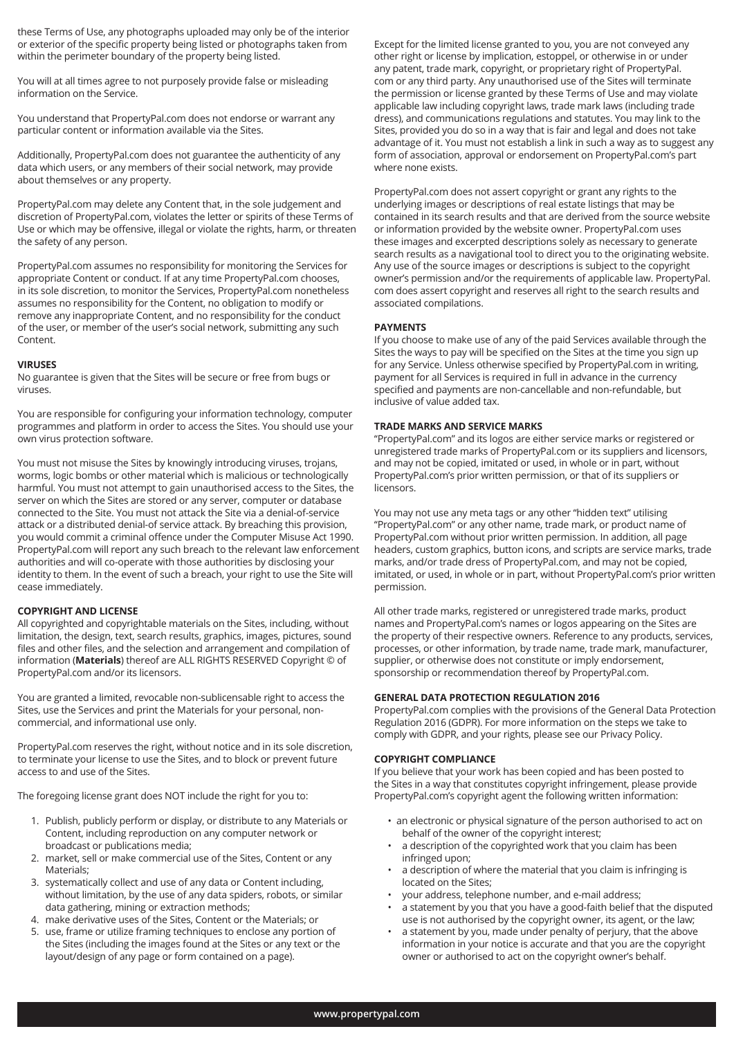these Terms of Use, any photographs uploaded may only be of the interior or exterior of the specific property being listed or photographs taken from within the perimeter boundary of the property being listed.

You will at all times agree to not purposely provide false or misleading information on the Service.

You understand that PropertyPal.com does not endorse or warrant any particular content or information available via the Sites.

Additionally, PropertyPal.com does not guarantee the authenticity of any data which users, or any members of their social network, may provide about themselves or any property.

PropertyPal.com may delete any Content that, in the sole judgement and discretion of PropertyPal.com, violates the letter or spirits of these Terms of Use or which may be offensive, illegal or violate the rights, harm, or threaten the safety of any person.

PropertyPal.com assumes no responsibility for monitoring the Services for appropriate Content or conduct. If at any time PropertyPal.com chooses, in its sole discretion, to monitor the Services, PropertyPal.com nonetheless assumes no responsibility for the Content, no obligation to modify or remove any inappropriate Content, and no responsibility for the conduct of the user, or member of the user's social network, submitting any such Content.

### **VIRUSES**

No guarantee is given that the Sites will be secure or free from bugs or viruses.

You are responsible for configuring your information technology, computer programmes and platform in order to access the Sites. You should use your own virus protection software.

You must not misuse the Sites by knowingly introducing viruses, trojans, worms, logic bombs or other material which is malicious or technologically harmful. You must not attempt to gain unauthorised access to the Sites, the server on which the Sites are stored or any server, computer or database connected to the Site. You must not attack the Site via a denial-of-service attack or a distributed denial-of service attack. By breaching this provision, you would commit a criminal offence under the Computer Misuse Act 1990. PropertyPal.com will report any such breach to the relevant law enforcement authorities and will co-operate with those authorities by disclosing your identity to them. In the event of such a breach, your right to use the Site will cease immediately.

# **COPYRIGHT AND LICENSE**

All copyrighted and copyrightable materials on the Sites, including, without limitation, the design, text, search results, graphics, images, pictures, sound files and other files, and the selection and arrangement and compilation of information (**Materials**) thereof are ALL RIGHTS RESERVED Copyright © of PropertyPal.com and/or its licensors.

You are granted a limited, revocable non-sublicensable right to access the Sites, use the Services and print the Materials for your personal, noncommercial, and informational use only.

PropertyPal.com reserves the right, without notice and in its sole discretion, to terminate your license to use the Sites, and to block or prevent future access to and use of the Sites.

The foregoing license grant does NOT include the right for you to:

- 1. Publish, publicly perform or display, or distribute to any Materials or Content, including reproduction on any computer network or broadcast or publications media;
- 2. market, sell or make commercial use of the Sites, Content or any Materials;
- 3. systematically collect and use of any data or Content including, without limitation, by the use of any data spiders, robots, or similar data gathering, mining or extraction methods;
- 4. make derivative uses of the Sites, Content or the Materials; or
- 5. use, frame or utilize framing techniques to enclose any portion of the Sites (including the images found at the Sites or any text or the layout/design of any page or form contained on a page).

Except for the limited license granted to you, you are not conveyed any other right or license by implication, estoppel, or otherwise in or under any patent, trade mark, copyright, or proprietary right of PropertyPal. com or any third party. Any unauthorised use of the Sites will terminate the permission or license granted by these Terms of Use and may violate applicable law including copyright laws, trade mark laws (including trade dress), and communications regulations and statutes. You may link to the Sites, provided you do so in a way that is fair and legal and does not take advantage of it. You must not establish a link in such a way as to suggest any form of association, approval or endorsement on PropertyPal.com's part where none exists.

PropertyPal.com does not assert copyright or grant any rights to the underlying images or descriptions of real estate listings that may be contained in its search results and that are derived from the source website or information provided by the website owner. PropertyPal.com uses these images and excerpted descriptions solely as necessary to generate search results as a navigational tool to direct you to the originating website. Any use of the source images or descriptions is subject to the copyright owner's permission and/or the requirements of applicable law. PropertyPal. com does assert copyright and reserves all right to the search results and associated compilations.

# **PAYMENTS**

If you choose to make use of any of the paid Services available through the Sites the ways to pay will be specified on the Sites at the time you sign up for any Service. Unless otherwise specified by PropertyPal.com in writing, payment for all Services is required in full in advance in the currency specified and payments are non-cancellable and non-refundable, but inclusive of value added tax.

# **TRADE MARKS AND SERVICE MARKS**

"PropertyPal.com" and its logos are either service marks or registered or unregistered trade marks of PropertyPal.com or its suppliers and licensors, and may not be copied, imitated or used, in whole or in part, without PropertyPal.com's prior written permission, or that of its suppliers or licensors.

You may not use any meta tags or any other "hidden text" utilising "PropertyPal.com" or any other name, trade mark, or product name of PropertyPal.com without prior written permission. In addition, all page headers, custom graphics, button icons, and scripts are service marks, trade marks, and/or trade dress of PropertyPal.com, and may not be copied, imitated, or used, in whole or in part, without PropertyPal.com's prior written permission.

All other trade marks, registered or unregistered trade marks, product names and PropertyPal.com's names or logos appearing on the Sites are the property of their respective owners. Reference to any products, services, processes, or other information, by trade name, trade mark, manufacturer, supplier, or otherwise does not constitute or imply endorsement, sponsorship or recommendation thereof by PropertyPal.com.

# **GENERAL DATA PROTECTION REGULATION 2016**

PropertyPal.com complies with the provisions of the General Data Protection Regulation 2016 (GDPR). For more information on the steps we take to comply with GDPR, and your rights, please see our Privacy Policy.

# **COPYRIGHT COMPLIANCE**

If you believe that your work has been copied and has been posted to the Sites in a way that constitutes copyright infringement, please provide PropertyPal.com's copyright agent the following written information:

- an electronic or physical signature of the person authorised to act on behalf of the owner of the copyright interest;
- a description of the copyrighted work that you claim has been infringed upon;
- a description of where the material that you claim is infringing is located on the Sites;
- your address, telephone number, and e-mail address;
- a statement by you that you have a good-faith belief that the disputed use is not authorised by the copyright owner, its agent, or the law;
- a statement by you, made under penalty of perjury, that the above information in your notice is accurate and that you are the copyright owner or authorised to act on the copyright owner's behalf.